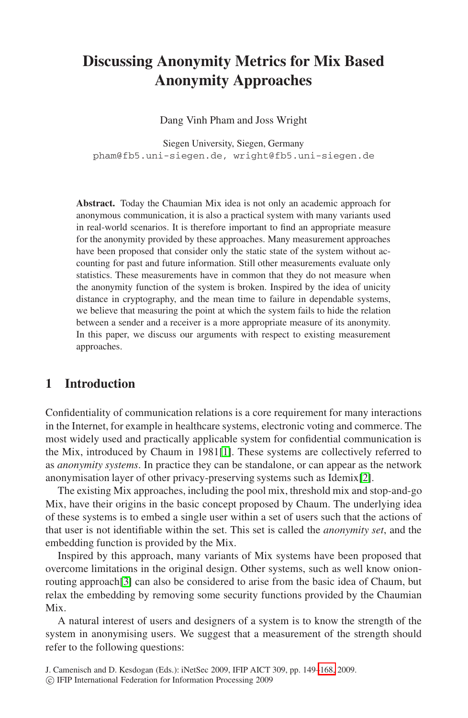# **Discussing Anonymity Metrics for Mix Based Anonymity Approaches**

Dang Vinh Pham and Joss Wright

Siegen University, Siegen, Germany pham@fb5.uni-siegen.de, wright@fb5.uni-siegen.de

**Abstract.** Today the Chaumian Mix idea is not only an academic approach for anonymous communication, it is also a practical system with many variants used in real-world scenarios. It is therefore important to find an appropriate measure for the anonymity provided by these approaches. Many measurement approaches have been proposed that consider only the static state of the system without accounting for past and future information. Still other measurements evaluate only statistics. These measurements have in common that they do not measure when the anonymity function of the system is broken. Inspired by the idea of unicity distance in cryptography, and the mean time to failure in dependable systems, we believe that measuring the point at which the system fails to hide the relation between a sender and a receiver is a more appropriate measure of its anonymity. In this paper, we discuss our arguments with respect to existing measurement approaches.

## **1 Introduction**

Confidentiality of communication relations is a core requirement for many interactions in the Internet, for example in healthcare systems, electronic voting and commerce. The most widely used and practically applicable system for confidential communication is the Mix, introduced by Chaum in 1981[1]. These systems are collectively referred to as *anonymity systems*. In practice they can be standalone, or can appear as the network anonymisation layer of other privacy-preserving systems such as Idemix[2].

The existing Mix approaches, including the pool mix, threshold mix and stop-and-go Mix, have their origins in the basic concept proposed by Chaum. The underlying idea of these systems is to embed a single user within a set of users such that the actions of that user is not identifiable within the set. This set is called the *anonymity set*, and the embedding function is provided by the Mix.

Inspired by this approach, many variants of Mix systems have been proposed that overcome limitations in the original desi[gn. O](#page-19-0)ther systems, such as well know onionrouting approach[3] can also be considered to arise from the basic idea of Chaum, but relax the embedding by removing some security functions provided by the Chaumian Mix.

A natural interest of users and designers of a system is to know the strength of the system in anonymising users. We suggest that a measurement of the strength should refer to the following questions:

-c IFIP International Federation for Information Processing 2009

J. Camenisch and D. Kesdogan (Eds.): iNetSec 2009, IFIP AICT 309, pp. 149–168, 2009.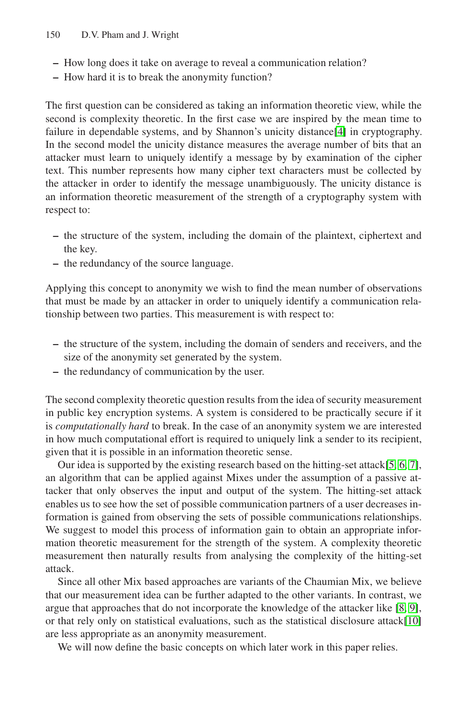- 150 D.V. Pham and J. Wright
	- **–** How long does it take on average to reveal a communication relation?
- **–** How hard it is to break the anonymity function?

The first question can be considered as taking an information theoretic view, while the second is complexity theoretic. In the first case we are inspired by the mean time to failure in dependable systems, and by Shannon's unicity distance[4] in cryptography. In the second model the unicity distance measures the average number of bits that an attacker must learn to uniquely identify a message by by examination of the cipher text. This number represents how many cipher text characters must be collected by the attacker in order to identify the message unambiguously. The unicity distance is an information theoretic measurement of the strength of a cryptography system with respect to:

- **–** the structure of the system, including the domain of the plaintext, ciphertext and the key.
- **–** the redundancy of the source language.

Applying this concept to anonymity we wish to find the mean number of observations that must be made by an attacker in order to uniquely identify a communication relationship between two parties. This measurement is with respect to:

- **–** the structure of the system, including the domain of senders and receivers, and the size of the anonymity set generated by the system.
- **–** the redundancy of communication by the user.

The second complexity theoretic question results from the idea of security measurement in public key encryption systems. A system is considered to be practically secure if it is *computationally hard* to break. In the case of an anonymity system we are interested in how much computational effort is required to uniquely link a sender to its recipient, given that it is possible in an information theoretic sense.

Our idea is supported by the existing research based on the hitting-set attack[5, 6, 7], an algorithm that can be applied against Mixes under the assumption of a passive attacker that only observes the input and output of the system. The hitting-set attack enables us to see how the set of possible communication part[ne](#page-18-0)[rs o](#page-18-1)f a user decreases information is gained from observing the sets of possible com[muni](#page-18-2)cations relationships. We suggest to model this process of information gain to obtain an appropriate information theoretic measurement for the strength of the system. A complexity theoretic measurement then naturally results from analysing the complexity of the hitting-set attack.

Since all other Mix based approaches are variants of the Chaumian Mix, we believe that our measurement idea can be further adapted to the other variants. In contrast, we argue that approaches that do not incorporate the knowledge of the attacker like [8, 9], or that rely only on statistical evaluations, such as the statistical disclosure attack[10] are less appropriate as an anonymity measurement.

We will now define the basic concepts on which later work in this paper relies.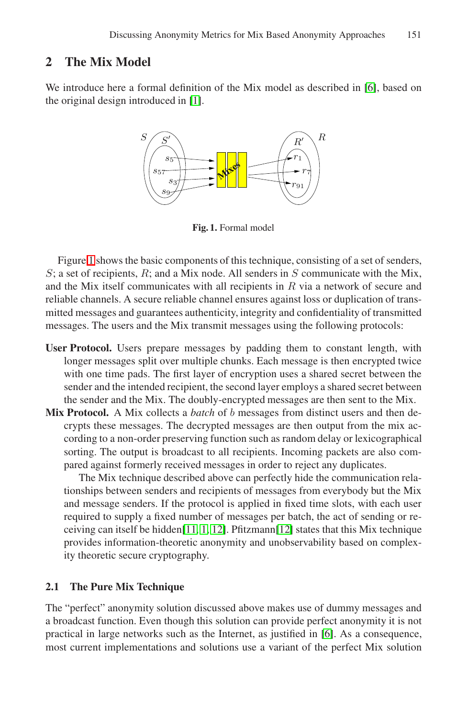### **2 The Mix Model**

<span id="page-2-0"></span>We introduce here a formal definition of the Mix model as described in [6], based on the original design introduced in [1].



**Fig. 1.** Formal model

Figure 1 shows the basic components of this technique, consisting of a set of senders,  $S$ ; a set of recipients,  $R$ ; and a Mix node. All senders in  $S$  communicate with the Mix, and the Mix itself communicates with all recipients in  $R$  via a network of secure and reliable channels. A secure reliable channel ensures against loss or duplication of transmitted messages and guarantees authenticity, integrity and confidentiality of transmitted messages. The users and the Mix transmit messages using the following protocols:

- **User Protocol.** Users prepare messages by padding them to constant length, with longer messages split over multiple chunks. Each message is then encrypted twice with one time pads. The first layer of encryption uses a shared secret between the sender and the intended recipient, the second layer employs a shared secret between the sender and the Mix. The doubly-encrypted messages are then sent to the Mix.
- **Mix Protocol.** A Mix collects a *batch* of b messages from distinct users and then decrypts [the](#page-18-3)[se](#page-17-0) [mes](#page-18-4)sages. The [dec](#page-18-4)rypted messages are then output from the mix according to a non-order preserving function such as random delay or lexicographical sorting. The output is broadcast to all recipients. Incoming packets are also compared against formerly received messages in order to reject any duplicates.

The Mix technique described above can perfectly hide the communication relationships between senders and recipients of messages from everybody but the Mix and message senders. If the protocol is applied in fixed time slots, with each user required to supply a fixed number of messages per batch, the act of sending or receiving can itself be hidden[11, 1, 12]. [Pfi](#page-18-5)tzmann[12] states that this Mix technique provides information-theoretic anonymity and unobservability based on complexity theoretic secure cryptography.

### **2.1 The Pure Mix Technique**

The "perfect" anonymity solution discussed above makes use of dummy messages and a broadcast function. Even though this solution can provide perfect anonymity it is not practical in large networks such as the Internet, as justified in [6]. As a consequence, most current implementations and solutions use a variant of the perfect Mix solution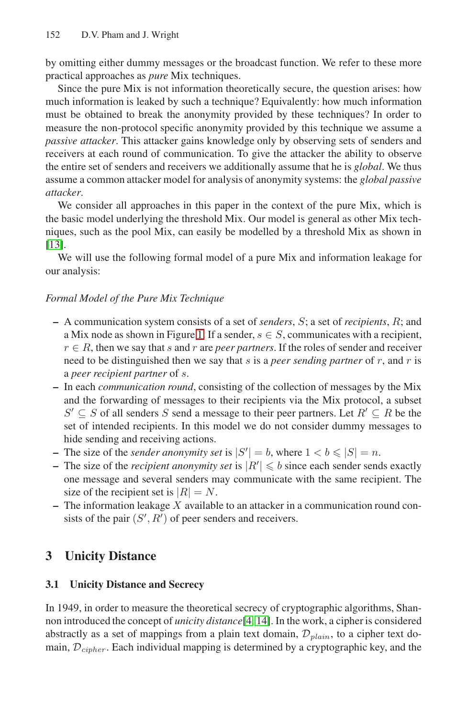by omitting either dummy messages or the broadcast function. We refer to these more practical approaches as *pure* Mix techniques.

Since the pure Mix is not information theoretically secure, the question arises: how much information is leaked by such a technique? Equivalently: how much information must be obtained to break the anonymity provided by these techniques? In order to measure the non-protocol specific anonymity provided by this technique we assume a *passive attacker*. This attacker gains knowledge only by observing sets of senders and receivers at each round of communication. To give the attacker the ability to observe the entire set of senders and receivers we additionally assume that he is *global*. We thus assume a common attacker model for analysis of anonymity systems: the *global passive attacker*.

We consider all approaches in this paper in the context of the pure Mix, which is the basic model underlying the threshold Mix. Our model is general as other Mix techniques, such [as](#page-2-0) the pool Mix, can easily be modelled by a threshold Mix as shown in [13].

We will use the following formal model of a pure Mix and information leakage for our analysis:

### *Formal Model of the Pure Mix Technique*

- **–** A communication system consists of a set of *senders*, S; a set of *recipients*, R; and a Mix node as shown in Figure 1. If a sender,  $s \in S$ , communicates with a recipient,  $r \in R$ , then we say that s and r are *peer partners*. If the roles of sender and receiver need to be distinguished then we say that s is a *peer sending partner* of r, and r is a *peer recipient partner* of s.
- **–** In each *communication round*, consisting of the collection of messages by the Mix and the forwarding of messages to their recipients via the Mix protocol, a subset  $S' \subseteq S$  of all senders S send a message to their peer partners. Let  $R' \subseteq R$  be the set of intended recipients. In this model we do not consider dummy messages to hide sending and receiving actions.
- **–** The size of the *sender anonymity set* is  $|S'| = b$ , where  $1 < b \le |S| = n$ .
- $\blacksquare$  The size of the *recipient anonymity set* is  $|R'| \leq b$  since each sender sends exactly one message and several senders may communicate with the same recipient. The size of the recipient set is  $|R| = N$ .
- **–** The information leakage X available to an attacker in a communication round consists [of](#page-18-6) the pair  $(S', R')$  $(S', R')$  $(S', R')$  of peer senders and receivers.

### **3 Unicity Distance**

### **3.1 Unicity Distance and Secrecy**

In 1949, in order to measure the theoretical secrecy of cryptographic algorithms, Shannon introduced the concept of *unicity distance*[4, 14]. In the work, a cipher is considered abstractly as a set of mappings from a plain text domain, D*plain*, to a cipher text domain, D*cipher* . Each individual mapping is determined by a cryptographic key, and the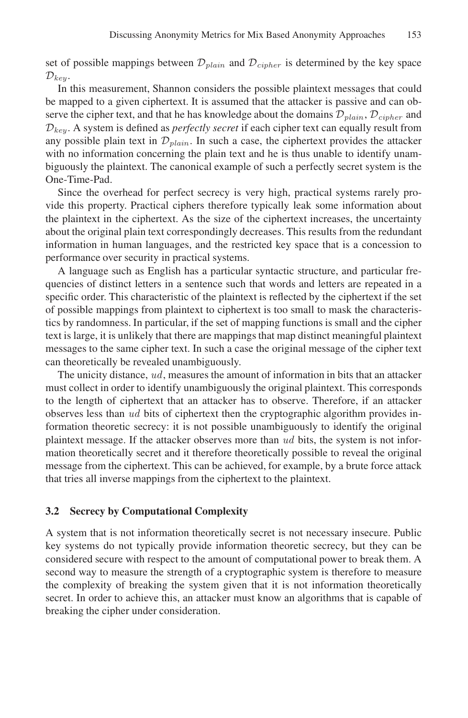set of possible mappings between D*plain* and D*cipher* is determined by the key space  $\mathcal{D}_{key}$ .

In this measurement, Shannon considers the possible plaintext messages that could be mapped to a given ciphertext. It is assumed that the attacker is passive and can observe the cipher text, and that he has knowledge about the domains D*plain*, D*cipher* and D*key* . A system is defined as *perfectly secret* if each cipher text can equally result from any possible plain text in  $\mathcal{D}_{\text{plain}}$ . In such a case, the ciphertext provides the attacker with no information concerning the plain text and he is thus unable to identify unambiguously the plaintext. The canonical example of such a perfectly secret system is the One-Time-Pad.

Since the overhead for perfect secrecy is very high, practical systems rarely provide this property. Practical ciphers therefore typically leak some information about the plaintext in the ciphertext. As the size of the ciphertext increases, the uncertainty about the original plain text correspondingly decreases. This results from the redundant information in human languages, and the restricted key space that is a concession to performance over security in practical systems.

A language such as English has a particular syntactic structure, and particular frequencies of distinct letters in a sentence such that words and letters are repeated in a specific order. This characteristic of the plaintext is reflected by the ciphertext if the set of possible mappings from plaintext to ciphertext is too small to mask the characteristics by randomness. In particular, if the set of mapping functions is small and the cipher text is large, it is unlikely that there are mappings that map distinct meaningful plaintext messages to the same cipher text. In such a case the original message of the cipher text can theoretically be revealed unambiguously.

The unicity distance, *ud*, measures the amount of information in bits that an attacker must collect in order to identify unambiguously the original plaintext. This corresponds to the length of ciphertext that an attacker has to observe. Therefore, if an attacker observes less than *ud* bits of ciphertext then the cryptographic algorithm provides information theoretic secrecy: it is not possible unambiguously to identify the original plaintext message. If the attacker observes more than *ud* bits, the system is not information theoretically secret and it therefore theoretically possible to reveal the original message from the ciphertext. This can be achieved, for example, by a brute force attack that tries all inverse mappings from the ciphertext to the plaintext.

### **3.2 Secrecy by Computational Complexity**

A system that is not information theoretically secret is not necessary insecure. Public key systems do not typically provide information theoretic secrecy, but they can be considered secure with respect to the amount of computational power to break them. A second way to measure the strength of a cryptographic system is therefore to measure the complexity of breaking the system given that it is not information theoretically secret. In order to achieve this, an attacker must know an algorithms that is capable of breaking the cipher under consideration.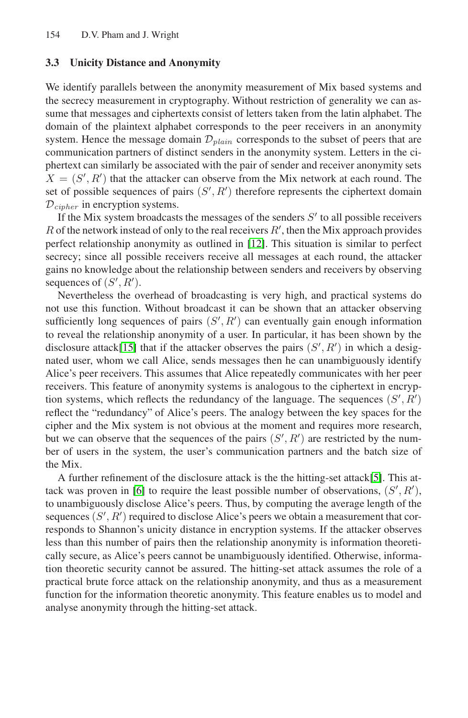### **3.3 Unicity Distance and Anonymity**

We identify parallels between the anonymity measurement of Mix based systems and the secrecy measurement in cryptography. Without restriction of generality we can assume that messages and ciphertexts consist of letters taken from the latin alphabet. The domain of the plaintext alphabet corresponds to the peer receivers in an anonymity system. Hence the messa[ge d](#page-18-4)omain  $\mathcal{D}_{plain}$  corresponds to the subset of peers that are communication partners of distinct senders in the anonymity system. Letters in the ciphertext can similarly be associated with the pair of sender and receiver anonymity sets  $X = (S', R')$  that the attacker can observe from the Mix network at each round. The set of possible sequences of pairs  $(S', R')$  therefore represents the ciphertext domain  $\mathcal{D}_{cipher}$  in encryption systems.

If the Mix system broadcasts the messages of the senders  $S'$  to all possible receivers R of the network instead of only to the real receivers  $R'$ , then the Mix approach provides perfect relationship anonymity as outlined in [12]. This situation is similar to perfect secrecy; since all possible receivers receive all messages at each round, the attacker gains no knowledge about the relationship between senders and receivers by observing sequences of  $(S', R')$ .

Nevertheless the overhead of broadcasting is very high, and practical systems do not use this function. Without broadcast it can be shown that an attacker observing sufficiently long sequences of pairs  $(S', R')$  can eventually gain enough information to reveal the relationship anonymity of a user. In particular, it has been shown by the disclosure attack[15] that if the attacker observes the pairs  $(S', R')$  in which a designated user, whom we call Alice, sends messages then he can unambiguously identify Alice's peer receivers. This assumes that Alice repeat[edl](#page-18-7)y communicates with her peer [re](#page-18-5)ceivers. This feature of anonymity systems is analogous to the ciphertext in encryption systems, which reflects the redundancy of the language. The sequences  $(S', R')$ reflect the "redundancy" of Alice's peers. The analogy between the key spaces for the cipher and the Mix system is not obvious at the moment and requires more research, but we can observe that the sequences of the pairs  $(S', R')$  are restricted by the number of users in the system, the user's communication partners and the batch size of the Mix.

A further refinement of the disclosure attack is the the hitting-set attack[5]. This attack was proven in [6] to require the least possible number of observations,  $(S', R')$ , to unambiguously disclose Alice's peers. Thus, by computing the average length of the sequences  $(S', R')$  required to disclose Alice's peers we obtain a measurement that corresponds to Shannon's unicity distance in encryption systems. If the attacker observes less than this number of pairs then the relationship anonymity is information theoretically secure, as Alice's peers cannot be unambiguously identified. Otherwise, information theoretic security cannot be assured. The hitting-set attack assumes the role of a practical brute force attack on the relationship anonymity, and thus as a measurement function for the information theoretic anonymity. This feature enables us to model and analyse anonymity through the hitting-set attack.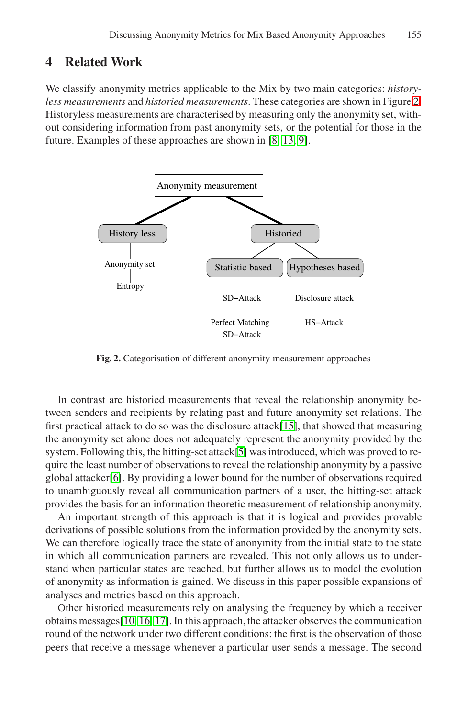### **4 Related Work**

We classify anonymity metrics applicable to the Mix by two main categories: *historyless measurements* and *historied measurements*. These categories are shown in Figure 2. Historyless measurements are characterised by measuring only the anonymity set, without considering information from past anonymity sets, or the potential for those in the future. Examples of these approaches are shown in [8, 13, 9].



**Fig. 2.** Categ[ori](#page-18-7)sation of different anonymity measurement approaches

In contrast are historied measurements that reveal the relationship anonymity between senders and recipients by relating past and future anonymity set relations. The first practical attack to do so was the disclosure attack[15], that showed that measuring the anonymity set alone does not adequately represent the anonymity provided by the system. Following this, the hitting-set attack[5] was introduced, which was proved to require the least number of observations to reveal the relationship anonymity by a passive global attacker[6]. By providing a lower bound for the number of observations required to unambiguously reveal all communication partners of a user, the hitting-set attack provides the basis for an information theoretic measurement of relationship anonymity.

[A](#page-18-9)[n i](#page-18-10)mportant strength of this approach is that it is logical and provides provable derivations of possible solutions from the information provided by the anonymity sets. We can therefore logically trace the state of anonymity from the initial state to the state in which all communication partners are revealed. This not only allows us to understand when particular states are reached, but further allows us to model the evolution of anonymity as information is gained. We discuss in this paper possible expansions of analyses and metrics based on this approach.

Other historied measurements rely on analysing the frequency by which a receiver obtains messages[10, 16, 17]. In this approach, the attacker observes the communication round of the network under two different conditions: the first is the observation of those peers that receive a message whenever a particular user sends a message. The second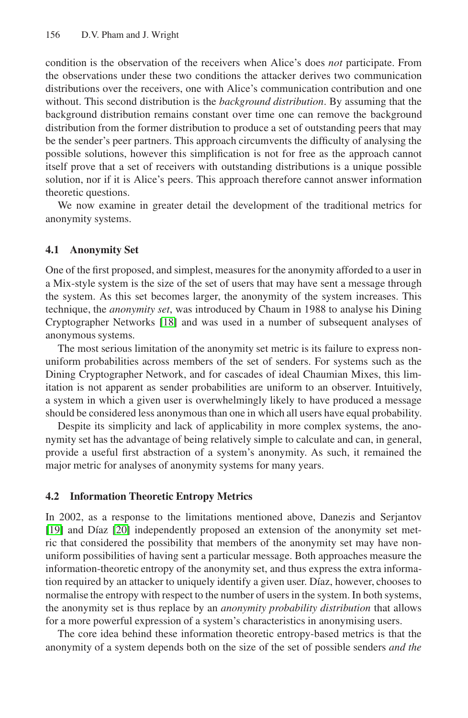condition is the observation of the receivers when Alice's does *not* participate. From the observations under these two conditions the attacker derives two communication distributions over the receivers, one with Alice's communication contribution and one without. This second distribution is the *background distribution*. By assuming that the background distribution remains constant over time one can remove the background distribution from the former distribution to produce a set of outstanding peers that may be the sender's peer partners. This approach circumvents the difficulty of analysing the possible solutions, however this simplification is not for free as the approach cannot itself prove that a set of receivers with outstanding distributions is a unique possible solution, nor if it is Alice's peers. This approach therefore cannot answer information theoretic questions.

We now examine in greater detail the development of the traditional metrics for anony[mit](#page-18-11)y systems.

### **4.1 Anonymity Set**

One of the first proposed, and simplest, measures for the anonymity afforded to a user in a Mix-style system is the size of the set of users that may have sent a message through the system. As this set becomes larger, the anonymity of the system increases. This technique, the *anonymity set*, was introduced by Chaum in 1988 to analyse his Dining Cryptographer Networks [18] and was used in a number of subsequent analyses of anonymous systems.

The most serious limitation of the anonymity set metric is its failure to express nonuniform probabilities across members of the set of senders. For systems such as the Dining Cryptographer Network, and for cascades of ideal Chaumian Mixes, this limitation is not apparent as sender probabilities are uniform to an observer. Intuitively, a system in which a given user is overwhelmingly likely to have produced a message should be considered less anonymous than one in which all users have equal probability.

Despite its simplicity and lack of applicability in more complex systems, the anonymity set has the advantage of being relatively simple to calculate and can, in general, provide a useful first abstraction of a system's anonymity. As such, it remained the major metric for analyses of anonymity systems for many years.

### **4.2 Information Theoretic Entropy Metrics**

In 2002, as a response to the limitations mentioned above, Danezis and Serjantov [19] and Díaz [20] independently proposed an extension of the anonymity set metric that considered the possibility that members of the anonymity set may have nonuniform possibilities of having sent a particular message. Both approaches measure the information-theoretic entropy of the anonymity set, and thus express the extra information required by an attacker to uniquely identify a given user. Díaz, however, chooses to normalise the entropy with respect to the number of users in the system. In both systems, the anonymity set is thus replace by an *anonymity probability distribution* that allows for a more powerful expression of a system's characteristics in anonymising users.

The core idea behind these information theoretic entropy-based metrics is that the anonymity of a system depends both on the size of the set of possible senders *and the*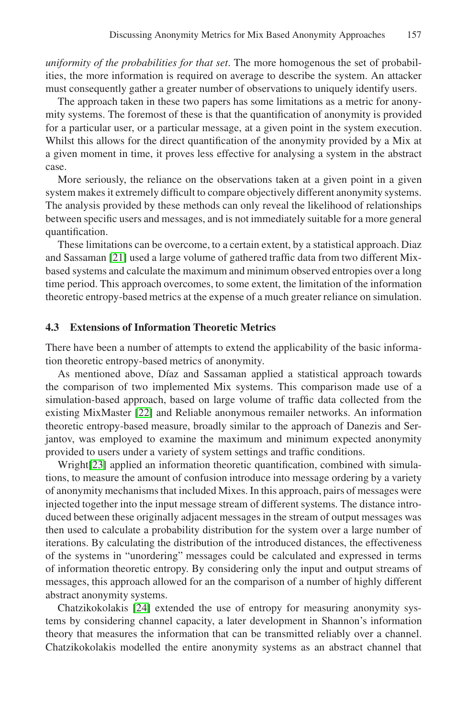*uniformity of the probabilities for that set*. The more homogenous the set of probabilities, the more information is required on average to describe the system. An attacker must consequently gather a greater number of observations to uniquely identify users.

The approach taken in these two papers has some limitations as a metric for anonymity systems. The foremost of these is that the quantification of anonymity is provided for a particular user, or a particular message, at a given point in the system execution. Whilst this allows for the direct quantification of the anonymity provided by a Mix at a given moment in time, it proves less effective for analysing a system in the abstract case.

More seriously, the reliance on the observations taken at a given point in a given system makes it extremely difficult to compare objectively different anonymity systems. The analysis provided by these methods can only reveal the likelihood of relationships between specific users and messages, and is not immediately suitable for a more general quantification.

These limitations can be overcome, to a certain extent, by a statistical approach. Diaz and Sassaman [21] used a large volume of gathered traffic data from two different Mixbased systems and calculate the maximum and minimum observed entropies over a long time period. This approach overcomes, to some extent, the limitation of the information theoretic entropy-based metrics at the expense of a much greater reliance on simulation.

### **4.3 Extensions of Information Theoretic Metrics**

There have been a number of attempts to extend the applicability of the basic information theoretic entropy-based metrics of anonymity.

As mentioned above, Díaz and Sassaman applied a statistical approach towards the comparison of two implemented Mix systems. This comparison made use of a simulation-based approach, based on large volume of traffic data collected from the existing MixMaster [22] and Reliable anonymous remailer networks. An information theoretic entropy-based measure, broadly similar to the approach of Danezis and Serjantov, was employed to examine the maximum and minimum expected anonymity provided to users under a variety of system settings and traffic conditions.

Wright[23] applied an information theoretic quantification, combined with simulations, to measure the amount of confusion introduce into message ordering by a variety of anonymity mechanisms that included Mixes. In this approach, pairs of messages were [inje](#page-19-1)cted together into the input message stream of different systems. The distance introduced between these originally adjacent messages in the stream of output messages was then used to calculate a probability distribution for the system over a large number of iterations. By calculating the distribution of the introduced distances, the effectiveness of the systems in "unordering" messages could be calculated and expressed in terms of information theoretic entropy. By considering only the input and output streams of messages, this approach allowed for an the comparison of a number of highly different abstract anonymity systems.

Chatzikokolakis [24] extended the use of entropy for measuring anonymity systems by considering channel capacity, a later development in Shannon's information theory that measures the information that can be transmitted reliably over a channel. Chatzikokolakis modelled the entire anonymity systems as an abstract channel that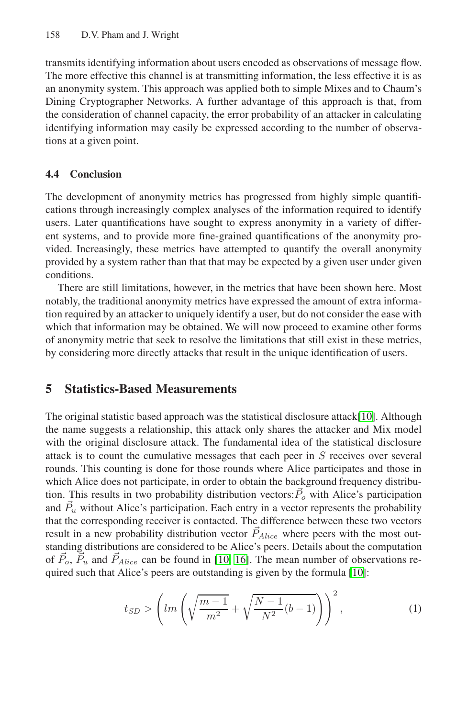transmits identifying information about users encoded as observations of message flow. The more effective this channel is at transmitting information, the less effective it is as an anonymity system. This approach was applied both to simple Mixes and to Chaum's Dining Cryptographer Networks. A further advantage of this approach is that, from the consideration of channel capacity, the error probability of an attacker in calculating identifying information may easily be expressed according to the number of observations at a given point.

### **4.4 Conclusion**

The development of anonymity metrics has progressed from highly simple quantifications through increasingly complex analyses of the information required to identify users. Later quantifications have sought to express anonymity in a variety of different systems, and to provide more fine-grained quantifications of the anonymity provided. Increasingly, these metrics have attempted to quantify the overall anonymity provided by a system rather than that that may be expected by a given user under given conditions.

There are still limitations, however, in the metrics that have been shown here. Most notably, the traditional anonymity metrics have expressed the amount of extra information required by an attacker to uniquely identify a us[er, b](#page-18-2)ut do not consider the ease with which that information may be obtained. We will now proceed to examine other forms of anonymity metric that seek to resolve the limitations that still exist in these metrics, by considering more directly attacks that result in the unique identification of users.

### **5 Statistics-Based Measurements**

The original statistic based approach was the statistical disclosure attack[10]. Although the name suggests a relationship, this attack only shares the attacker and Mix model with the original disclosure attack. The fundamental idea of the statistical disclosure attack is to count [the](#page-18-2) [cum](#page-18-9)ulative messages that each peer in S receives over several rounds. This counting is done for those rounds [whe](#page-18-2)re Alice participates and those in which Alice does not participate, in order to obtain the background frequency distribution. This results in two probability distribution vectors:  $\vec{P}_o$  with Alice's participation and  $\vec{P}_u$  without Alice's participation. Each entry in a vector represents the probability that the corresponding receiver is contacted. The difference between these two vectors result in a new probability distribution vector  $\vec{P}_{Alice}$  where peers with the most outstanding distributions are considered to be Alice's peers. Details about the computation of  $\vec{P}_o$ ,  $\vec{P}_u$  and  $\vec{P}_{Alice}$  can be found in [10, 16]. The mean number of observations required such that Alice's peers are outstanding is given by the formula [10]:

<span id="page-9-0"></span>
$$
t_{SD} > \left( \ln \left( \sqrt{\frac{m-1}{m^2}} + \sqrt{\frac{N-1}{N^2} (b-1)} \right) \right)^2, \tag{1}
$$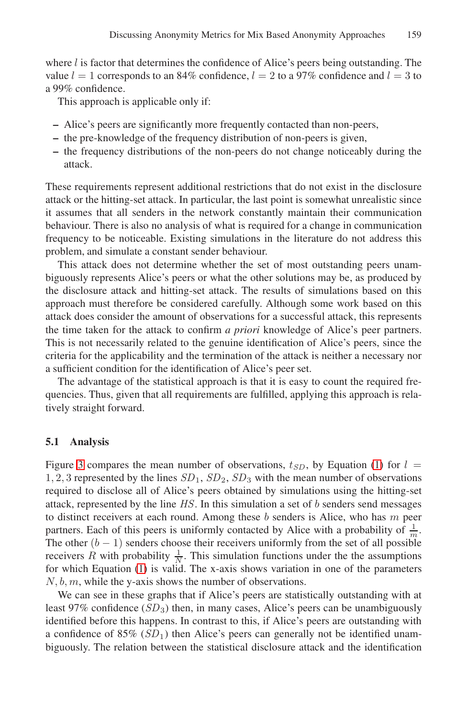where  $l$  is factor that determines the confidence of Alice's peers being outstanding. The value  $l = 1$  corresponds to an 84% confidence,  $l = 2$  to a 97% confidence and  $l = 3$  to a 99% confidence.

This approach is applicable only if:

- **–** Alice's peers are significantly more frequently contacted than non-peers,
- **–** the pre-knowledge of the frequency distribution of non-peers is given,
- **–** the frequency distributions of the non-peers do not change noticeably during the attack.

These requirements represent additional restrictions that do not exist in the disclosure attack or the hitting-set attack. In particular, the last point is somewhat unrealistic since it assumes that all senders in the network constantly maintain their communication behaviour. There is also no analysis of what is required for a change in communication frequency to be noticeable. Existing simulations in the literature do not address this problem, and simulate a constant sender behaviour.

This attack does not determine whether the set of most outstanding peers unambiguously represents Alice's peers or what the other solutions may be, as produced by the disclosure attack and hitting-set attack. The results of simulations based on this approach must therefore be considered carefully. Although some work based on this attack does consider the amount of observations for a successful attack, this represents the time taken for the attack to confirm *a priori* knowledge of Alice's peer partners. This is not necessarily related to the genuine identification of Alice's peers, since the criteria for the applicability and the termination of the attack is neither a necessary nor a sufficient condition for the identification of Alice's p[eer](#page-9-0) set.

The advantage of the statistical approach is that it is easy to count the required frequencies. Thus, given that all requirements are fulfilled, applying this approach is relatively straight forward.

### **5.1 Analysis**

[Fig](#page-9-0)ure 3 compares the mean number of observations,  $t_{SD}$ , by Equation (1) for  $l =$ 1, 2, 3 represented by the lines *SD*1, *SD*2, *SD*<sup>3</sup> with the mean number of observations required to disclose all of Alice's peers obtained by simulations using the hitting-set attack, represented by the line *HS*. In this simulation a set of b senders send messages to distinct receivers at each round. Among these  $b$  senders is Alice, who has  $m$  peer partners. Each of this peers is uniformly contacted by Alice with a probability of  $\frac{1}{m}$ . The other  $(b - 1)$  senders choose their receivers uniformly from the set of all possible receivers R with probability  $\frac{1}{N}$ . This simulation functions under the the assumptions for which Equation (1) is valid. The x-axis shows variation in one of the parameters  $N, b, m$ , while the y-axis shows the number of observations.

We can see in these graphs that if Alice's peers are statistically outstanding with at least 97% confidence (*SD*3) then, in many cases, Alice's peers can be unambiguously identified before this happens. In contrast to this, if Alice's peers are outstanding with a confidence of 85% (*SD*1) then Alice's peers can generally not be identified unambiguously. The relation between the statistical disclosure attack and the identification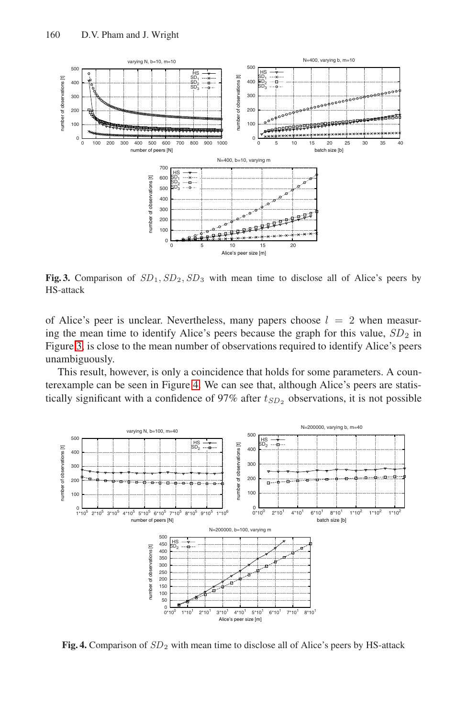<span id="page-11-1"></span>

**Fig. 3.** Comp[aris](#page-11-0)on of *SD*1, *SD*2, *SD*<sup>3</sup> with mean time to disclose all of Alice's peers by HS-attack

of Alice's peer is unclear. Nevertheless, many papers choose  $l = 2$  when measuring the mean time to identify Alice's peers because the graph for this value, *SD*<sup>2</sup> in Figure 3, is close to the mean number of observations required to identify Alice's peers unambiguously.

This result, however, is only a coincidence that holds for some parameters. A counterexample can be seen in Figure 4. We can see that, although Alice's peers are statistically significant with a confidence of  $97\%$  after  $t_{SD_2}$  observations, it is not possible



<span id="page-11-0"></span>Fig. 4. Comparison of  $SD_2$  with mean time to disclose all of Alice's peers by HS-attack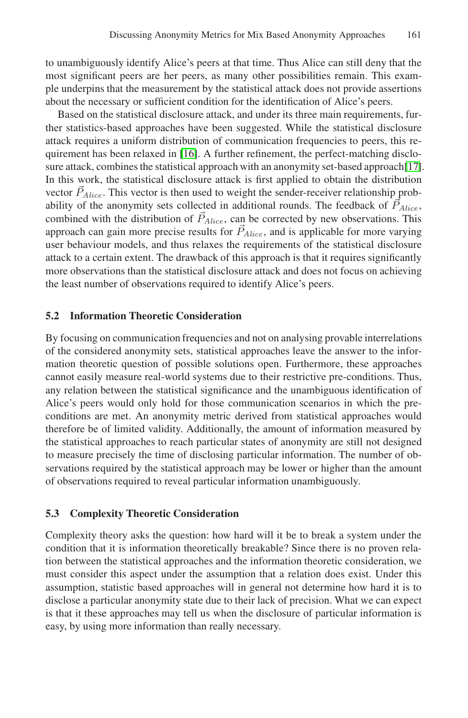to unambi[guo](#page-18-9)usly identify Alice's peers at that time. Thus Ali[ce c](#page-18-10)an still deny that the most significant peers are her peers, as many other possibilities remain. This example underpins that the measurement by the statistical attack does not provide assertions about the necessary or sufficient condition for the identification of Alice's peers.

Based on the statistical disclosure attack, and under its three main requirements, further statistics-based approaches have been suggested. While the statistical disclosure attack requires a uniform distribution of communication frequencies to peers, this requirement has been relaxed in [16]. A further refinement, the perfect-matching disclosure attack, combines the statistical approach with an anonymity set-based approach[17]. In this work, the statistical disclosure attack is first applied to obtain the distribution vector  $\vec{P}_{Alice}$ . This vector is then used to weight the sender-receiver relationship probability of the anonymity sets collected in additional rounds. The feedback of  $\vec{P}_{Alice}$ , combined with the distribution of  $\vec{P}_{Alice}$ , can be corrected by new observations. This approach can gain more precise results for  $\vec{P}_{Alice}$ , and is applicable for more varying user behaviour models, and thus relaxes the requirements of the statistical disclosure attack to a certain extent. The drawback of this approach is that it requires significantly more observations than the statistical disclosure attack and does not focus on achieving the least number of observations required to identify Alice's peers.

### **5.2 Information Theoretic Consideration**

By focusing on communication frequencies and not on analysing provable interrelations of the considered anonymity sets, statistical approaches leave the answer to the information theoretic question of possible solutions open. Furthermore, these approaches cannot easily measure real-world systems due to their restrictive pre-conditions. Thus, any relation between the statistical significance and the unambiguous identification of Alice's peers would only hold for those communication scenarios in which the preconditions are met. An anonymity metric derived from statistical approaches would therefore be of limited validity. Additionally, the amount of information measured by the statistical approaches to reach particular states of anonymity are still not designed to measure precisely the time of disclosing particular information. The number of observations required by the statistical approach may be lower or higher than the amount of observations required to reveal particular information unambiguously.

### **5.3 Complexity Theoretic Consideration**

Complexity theory asks the question: how hard will it be to break a system under the condition that it is information theoretically breakable? Since there is no proven relation between the statistical approaches and the information theoretic consideration, we must consider this aspect under the assumption that a relation does exist. Under this assumption, statistic based approaches will in general not determine how hard it is to disclose a particular anonymity state due to their lack of precision. What we can expect is that it these approaches may tell us when the disclosure of particular information is easy, by using more information than really necessary.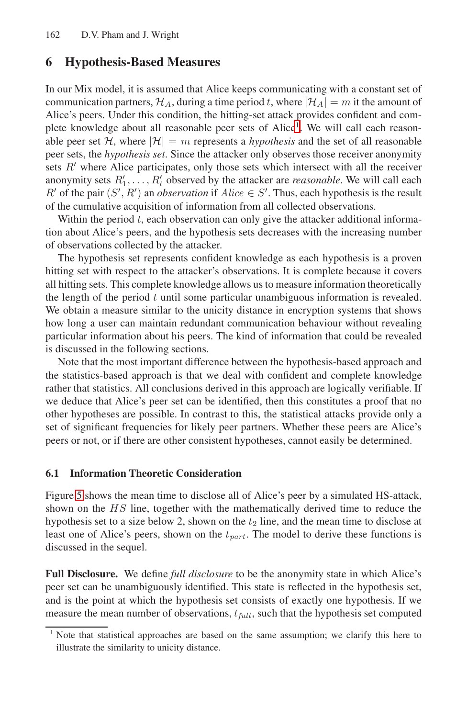### <span id="page-13-0"></span>**6 Hypothesis-Based Measures**

In our Mix model, it is assumed that Alice keeps communicating with a constant set of communication partners,  $\mathcal{H}_A$ , during a time period t, where  $|\mathcal{H}_A| = m$  it the amount of Alice's peers. Under this condition, the hitting-set attack provides confident and complete knowledge about all reasonable peer sets of Alice<sup>1</sup>. We will call each reasonable peer set  $\mathcal{H}$ , where  $|\mathcal{H}| = m$  represents a *hypothesis* and the set of all reasonable peer sets, the *hypothesis set*. Since the attacker only observes those receiver anonymity sets  $R'$  where Alice participates, only those sets which intersect with all the receiver anonymity sets  $R'_1, \ldots, R'_t$  observed by the attacker are *reasonable*. We will call each  $R'$  of the pair  $(S', R')$  an *observation* if  $Alice \in S'$ . Thus, each hypothesis is the result of the cumulative acquisition of information from all collected observations.

Within the period  $t$ , each observation can only give the attacker additional information about Alice's peers, and the hypothesis sets decreases with the increasing number of observations collected by the attacker.

The hypothesis set represents confident knowledge as each hypothesis is a proven hitting set with respect to the attacker's observations. It is complete because it covers all hitting sets. This complete knowledge allows us to measure information theoretically the length of the period  $t$  until some particular unambiguous information is revealed. We obtain a measure similar to the unicity distance in encryption systems that shows how long a user can maintain redundant communication behaviour without revealing particular information about his peers. The kind of information that could be revealed is discussed in the following sections.

Note that the most important difference between the hypothesis-based approach and the statistics-based approach is that we deal with confident and complete knowledge rather that statistics. All conclusions derived in this approach are logically verifiable. If we deduce that Alice's peer set can be identified, then this constitutes a proof that no other hypotheses are possible. In contrast to this, the statistical attacks provide only a set of significant frequencies for likely peer partners. Whether these peers are Alice's peers or not, or if there are other consistent hypotheses, cannot easily be determined.

#### **6.1 Information Theoretic Consideration**

Figure 5 shows the mean time to disclose all of Alice's peer by a simulated HS-attack, shown on the HS line, together with the mathematically derived time to reduce the hypothesis set to a size below 2, shown on the  $t_2$  line, and the mean time to disclose at least one of Alice's peers, shown on the t*part*. The model to derive these functions is discussed in the sequel.

**Full Disclosure.** We define *full disclosure* to be the anonymity state in which Alice's peer set can be unambiguously identified. This state is reflected in the hypothesis set, and is the point at which the hypothesis set consists of exactly one hypothesis. If we measure the mean number of observations,  $t<sub>full</sub>$ , such that the hypothesis set computed

<sup>1</sup> Note that statistical approaches are based on the same assumption; we clarify this here to illustrate the similarity to unicity distance.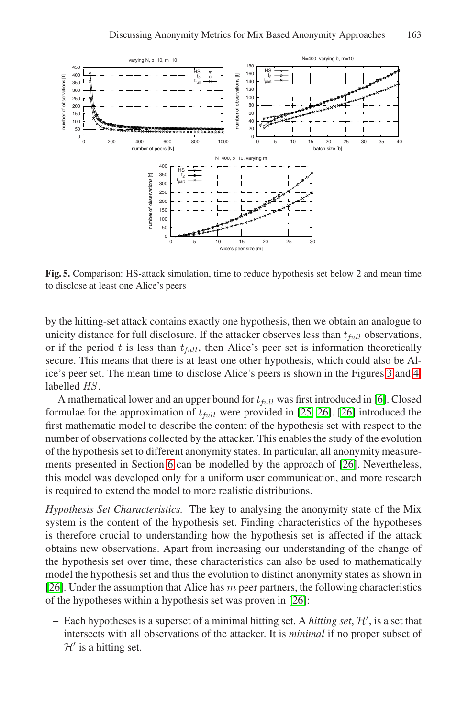<span id="page-14-0"></span>

**Fig. 5.** Comparison: HS-attack simulation, time to reduce hypot[hes](#page-11-1)is s[et](#page-11-0) below 2 and mean time to disclose at least one Alice's peers

by the hitting-set attack contains exactly one hypothesis, then we obtain an analogue to unicity distance for full disclosure. If the attacker observes less than t*full* observations, or if the period  $t$  is less than  $t_{full}$ , then Alice's peer set is information theoretically secure. [T](#page-13-0)his means that there is at least one ot[her h](#page-19-2)ypothesis, which could also be Alice's peer set. The mean time to disclose Alice's peers is shown in the Figures 3 and 4, labelled *HS*.

A mathematical lower and an upper bound for t*full* was first introduced in [6]. Closed formulae for the approximation of t*full* were provided in [25, 26]. [26] introduced the first mathematic model to describe the content of the hypothesis set with respect to the number of observations collected by the attacker. This enables the study of the evolution of the hypothesis set to different anonymity states. In particular, all anonymity measurements presented in Section 6 can be modelled by the approach of [26]. Nevertheless, this model was developed only for a uniform user communication, and more research is required to extend the model to [more](#page-19-2) realistic distributions.

*Hypothesis Set Characteristics.* The key to analysing the anonymity state of the Mix system is the content of the hypothesis set. Finding characteristics of the hypotheses is therefore crucial to understanding how the hypothesis set is affected if the attack obtains new observations. Apart from increasing our understanding of the change of the hypothesis set over time, these characteristics can also be used to mathematically model the hypothesis set and thus the evolution to distinct anonymity states as shown in [26]. Under the assumption that Alice has  $m$  peer partners, the following characteristics of the hypotheses within a hypothesis set was proven in [26]:

 $-$  Each hypotheses is a superset of a minimal hitting set. A *hitting set*,  $\mathcal{H}'$ , is a set that intersects with all observations of the attacker. It is *minimal* if no proper subset of  $\mathcal{H}'$  is a hitting set.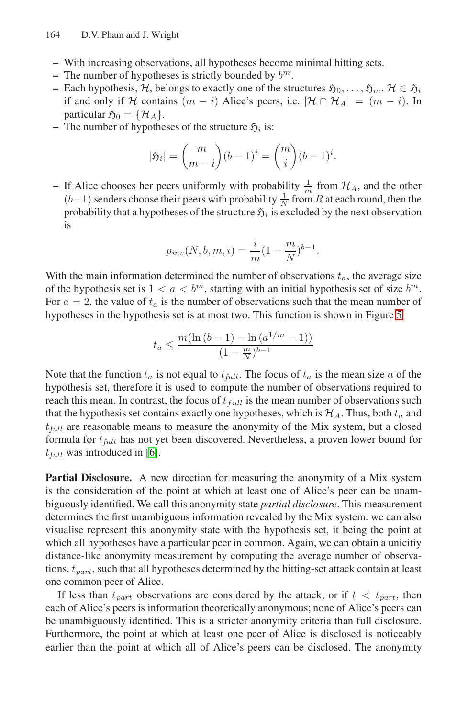- **–** With increasing observations, all hypotheses become minimal hitting sets.
- **–** The number of hypotheses is strictly bounded by  $b^m$ .
- **–** Each hypothesis, H, belongs to exactly one of the structures  $\mathfrak{H}_0, \ldots, \mathfrak{H}_m$ .  $\mathcal{H} \in \mathfrak{H}_i$ if and only if H contains  $(m - i)$  Alice's peers, i.e.  $|\mathcal{H} \cap \mathcal{H}_A| = (m - i)$ . In particular  $\mathfrak{H}_0 = {\mathcal{H}_A}.$
- **–** The number of hypotheses of the structure  $\mathfrak{H}_i$  is:

$$
|\mathfrak{H}_i| = \binom{m}{m-i}(b-1)^i = \binom{m}{i}(b-1)^i.
$$

– If Alice chooses her peers uniformly with probability  $\frac{1}{m}$  from  $\mathcal{H}_A$ , and the other  $(b-1)$  senders choose their peers with probability  $\frac{1}{N}$  from R at each round, then the probability that a hypotheses of the structure  $\mathfrak{H}_i$  is exclu[de](#page-14-0)d by the next observation is

$$
p_{inv}(N, b, m, i) = \frac{i}{m}(1 - \frac{m}{N})^{b-1}.
$$

With the main information determined the number of observations  $t_a$ , the average size of the hypothesis set is  $1 < a < b^m$ , starting with an initial hypothesis set of size  $b^m$ . For  $a = 2$ , the value of  $t_a$  is the number of observations such that the mean number of hypotheses in the hypothesis set is at most two. This function is shown in Figure 5

$$
t_a \le \frac{m(\ln{(b-1)} - \ln{(a^{1/m} - 1)})}{(1 - \frac{m}{N})^{b-1}}
$$

Note that the function  $t_a$  is not equal to  $t_{full}$ . The focus of  $t_a$  is the mean size a of the hypothesis set, therefore it is used to compute the number of observations required to reach this mean. In contrast, the focus of  $t_{full}$  is the mean number of observations such that the hypothesis set contains exactly one hypotheses, which is  $\mathcal{H}_A$ . Thus, both  $t_a$  and t*full* are reasonable means to measure the anonymity of the Mix system, but a closed formula for t*full* has not yet been discovered. Nevertheless, a proven lower bound for t*full* was introduced in [6].

Partial Disclosure. A new direction for measuring the anonymity of a Mix system is the consideration of the point at which at least one of Alice's peer can be unambiguously identified. We call this anonymity state *partial disclosure*. This measurement determines the first unambiguous information revealed by the Mix system. we can also visualise represent this anonymity state with the hypothesis set, it being the point at which all hypotheses have a particular peer in common. Again, we can obtain a unicitiy distance-like anonymity measurement by computing the average number of observations, t*part*, such that all hypotheses determined by the hitting-set attack contain at least one common peer of Alice.

If less than  $t_{part}$  observations are considered by the attack, or if  $t < t_{part}$ , then each of Alice's peers is information theoretically anonymous; none of Alice's peers can be unambiguously identified. This is a stricter anonymity criteria than full disclosure. Furthermore, the point at which at least one peer of Alice is disclosed is noticeably earlier than the point at which all of Alice's peers can be disclosed. The anonymity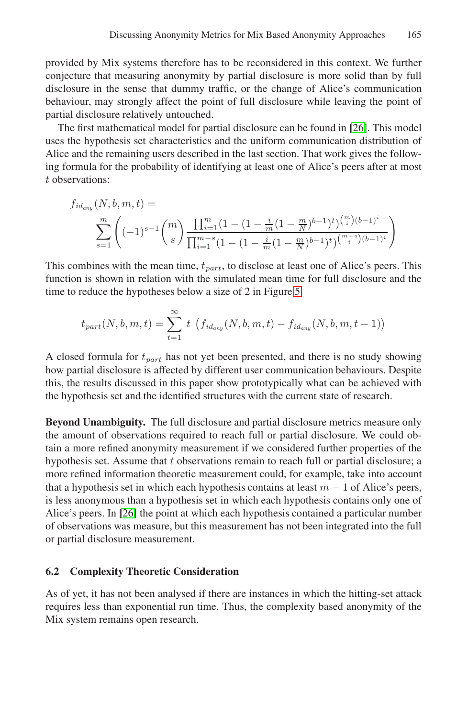provided by Mix systems therefore has to be reconsidered in this context. We further conjecture that measuring anonymity by partial disclosure is more solid than by full disclosure in the sense that dummy traffic, or the change of Alice's communication behaviour, may strongly affect the point of full disclosure while leaving the point of partial disclosure relatively untouched.

The first mathematical model for partial disclosure can be found in [26]. This model uses the hypothesis set characteristics and the uniform communication distribution of Alice and the remaining users described in the last section. That work gives the following formula for the probability of identifying at least one of Alice's peers after at most t observations:

$$
f_{id_{any}}(N, b, m, t) = \sum_{s=1}^{m} \left( (-1)^{s-1} {m \choose s} \frac{\prod_{i=1}^{m} (1 - (1 - \frac{i}{m} (1 - \frac{m}{N})^{b-1})^t)^{\binom{m}{i}(b-1)^i}}{\prod_{i=1}^{m-s} (1 - (1 - \frac{i}{m} (1 - \frac{m}{N})^{b-1})^t)^{\binom{m-s}{i}(b-1)^i}} \right)
$$

This combines with the mean time, t*part*, to disclose at least one of Alice's peers. This function is shown in relation with the simulated mean time for full disclosure and the time to reduce the hypotheses below a size of 2 in Figure 5.

$$
t_{part}(N, b, m, t) = \sum_{t=1}^{\infty} t \left( f_{id_{any}}(N, b, m, t) - f_{id_{any}}(N, b, m, t - 1) \right)
$$

A closed formula for t*part* has not yet been presented, and there is no study showing how partial disclosure is affected by different user communication behaviours. Despite this, the results discussed in this paper show prototypically what can be achieved with the hypothesis set and the identified structures with the current state of research.

**Beyond Unambiguity.** The full disclosure and partial disclosure metrics measure only the amount of observations required to reach full or partial disclosure. We could obtain a more refined anonymity measurement if we considered further properties of the hypothesis set. Assume that t observations remain to reach full or partial disclosure; a more refined information theoretic measurement could, for example, take into account that a hypothesis set in which each hypothesis contains at least  $m - 1$  of Alice's peers, is less anonymous than a hypothesis set in which each hypothesis contains only one of Alice's peers. In [26] the point at which each hypothesis contained a particular number of observations was measure, but this measurement has not been integrated into the full or partial disclosure measurement.

### **6.2 Complexity Theoretic Consideration**

As of yet, it has not been analysed if there are instances in which the hitting-set attack requires less than exponential run time. Thus, the complexity based anonymity of the Mix system remains open research.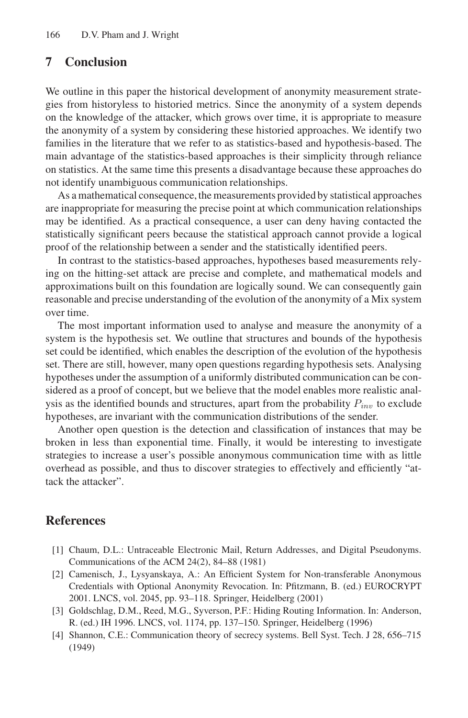# **7 Conclusion**

We outline in this paper the historical development of anonymity measurement strategies from historyless to historied metrics. Since the anonymity of a system depends on the knowledge of the attacker, which grows over time, it is appropriate to measure the anonymity of a system by considering these historied approaches. We identify two families in the literature that we refer to as statistics-based and hypothesis-based. The main advantage of the statistics-based approaches is their simplicity through reliance on statistics. At the same time this presents a disadvantage because these approaches do not identify unambiguous communication relationships.

As a mathematical consequence, the measurements provided by statistical approaches are inappropriate for measuring the precise point at which communication relationships may be identified. As a practical consequence, a user can deny having contacted the statistically significant peers because the statistical approach cannot provide a logical proof of the relationship between a sender and the statistically identified peers.

In contrast to the statistics-based approaches, hypotheses based measurements relying on the hitting-set attack are precise and complete, and mathematical models and approximations built on this foundation are logically sound. We can consequently gain reasonable and precise understanding of the evolution of the anonymity of a Mix system over time.

The most important information used to analyse and measure the anonymity of a system is the hypothesis set. We outline that structures and bounds of the hypothesis set could be identified, which enables the description of the evolution of the hypothesis set. There are still, however, many open questions regarding hypothesis sets. Analysing hypotheses under the assumption of a uniformly distributed communication can be considered as a proof of concept, but we believe that the model enables more realistic analysis as the identified bounds and structures, apart from the probability P*inv* to exclude hypotheses, are invariant with the communication distributions of the sender.

Another open question is the detection and classification of instances that may be broken in less than exponential time. Finally, it would be interesting to investigate strategies to increase a user's possible anonymous communication time with as little overhead as possible, and thus to discover strategies to effectively and efficiently "attack the attacker".

### **References**

- <span id="page-17-0"></span>[1] Chaum, D.L.: Untraceable Electronic Mail, Return Addresses, and Digital Pseudonyms. Communications of the ACM 24(2), 84–88 (1981)
- [2] Camenisch, J., Lysyanskaya, A.: An Efficient System for Non-transferable Anonymous Credentials with Optional Anonymity Revocation. In: Pfitzmann, B. (ed.) EUROCRYPT 2001. LNCS, vol. 2045, pp. 93–118. Springer, Heidelberg (2001)
- [3] Goldschlag, D.M., Reed, M.G., Syverson, P.F.: Hiding Routing Information. In: Anderson, R. (ed.) IH 1996. LNCS, vol. 1174, pp. 137–150. Springer, Heidelberg (1996)
- <span id="page-17-1"></span>[4] Shannon, C.E.: Communication theory of secrecy systems. Bell Syst. Tech. J 28, 656–715 (1949)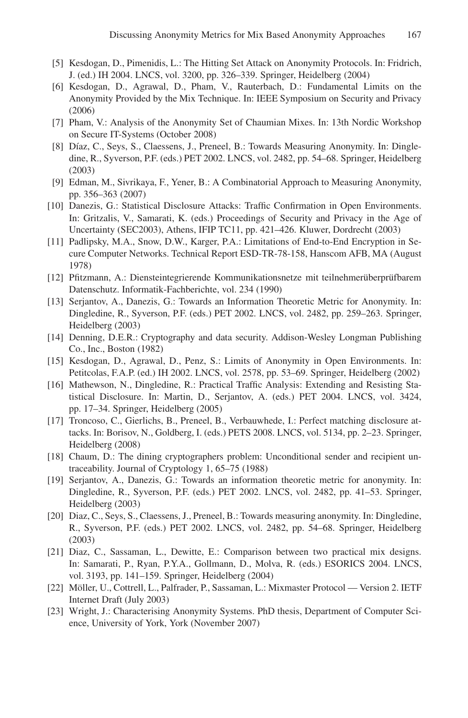- <span id="page-18-7"></span>[5] Kesdogan, D., Pimenidis, L.: The Hitting Set Attack on Anonymity Protocols. In: Fridrich, J. (ed.) IH 2004. LNCS, vol. 3200, pp. 326–339. Springer, Heidelberg (2004)
- <span id="page-18-5"></span>[6] Kesdogan, D., Agrawal, D., Pham, V., Rauterbach, D.: Fundamental Limits on the Anonymity Provided by the Mix Technique. In: IEEE Symposium on Security and Privacy (2006)
- [7] Pham, V.: Analysis of the Anonymity Set of Chaumian Mixes. In: 13th Nordic Workshop on Secure IT-Systems (October 2008)
- <span id="page-18-0"></span>[8] Díaz, C., Seys, S., Claessens, J., Preneel, B.: Towards Measuring Anonymity. In: Dingledine, R., Syverson, P.F. (eds.) PET 2002. LNCS, vol. 2482, pp. 54–68. Springer, Heidelberg (2003)
- <span id="page-18-1"></span>[9] Edman, M., Sivrikaya, F., Yener, B.: A Combinatorial Approach to Measuring Anonymity, pp. 356–363 (2007)
- <span id="page-18-2"></span>[10] Danezis, G.: Statistical Disclosure Attacks: Traffic Confirmation in Open Environments. In: Gritzalis, V., Samarati, K. (eds.) Proceedings of Security and Privacy in the Age of Uncertainty (SEC2003), Athens, IFIP TC11, pp. 421–426. Kluwer, Dordrecht (2003)
- <span id="page-18-3"></span>[11] Padlipsky, M.A., Snow, D.W., Karger, P.A.: Limitations of End-to-End Encryption in Secure Computer Networks. Technical Report ESD-TR-78-158, Hanscom AFB, MA (August 1978)
- <span id="page-18-4"></span>[12] Pfitzmann, A.: Diensteintegrierende Kommunikationsnetze mit teilnehmerüberprüfbarem Datenschutz. Informatik-Fachberichte, vol. 234 (1990)
- <span id="page-18-8"></span>[13] Serjantov, A., Danezis, G.: Towards an Information Theoretic Metric for Anonymity. In: Dingledine, R., Syverson, P.F. (eds.) PET 2002. LNCS, vol. 2482, pp. 259–263. Springer, Heidelberg (2003)
- <span id="page-18-6"></span>[14] Denning, D.E.R.: Cryptography and data security. Addison-Wesley Longman Publishing Co., Inc., Boston (1982)
- [15] Kesdogan, D., Agrawal, D., Penz, S.: Limits of Anonymity in Open Environments. In: Petitcolas, F.A.P. (ed.) IH 2002. LNCS, vol. 2578, pp. 53–69. Springer, Heidelberg (2002)
- <span id="page-18-9"></span>[16] Mathewson, N., Dingledine, R.: Practical Traffic Analysis: Extending and Resisting Statistical Disclosure. In: Martin, D., Serjantov, A. (eds.) PET 2004. LNCS, vol. 3424, pp. 17–34. Springer, Heidelberg (2005)
- <span id="page-18-10"></span>[17] Troncoso, C., Gierlichs, B., Preneel, B., Verbauwhede, I.: Perfect matching disclosure attacks. In: Borisov, N., Goldberg, I. (eds.) PETS 2008. LNCS, vol. 5134, pp. 2–23. Springer, Heidelberg (2008)
- <span id="page-18-11"></span>[18] Chaum, D.: The dining cryptographers problem: Unconditional sender and recipient untraceability. Journal of Cryptology 1, 65–75 (1988)
- [19] Serjantov, A., Danezis, G.: Towards an information theoretic metric for anonymity. In: Dingledine, R., Syverson, P.F. (eds.) PET 2002. LNCS, vol. 2482, pp. 41–53. Springer, Heidelberg (2003)
- [20] Diaz, C., Seys, S., Claessens, J., Preneel, B.: Towards measuring anonymity. In: Dingledine, R., Syverson, P.F. (eds.) PET 2002. LNCS, vol. 2482, pp. 54–68. Springer, Heidelberg (2003)
- [21] Diaz, C., Sassaman, L., Dewitte, E.: Comparison between two practical mix designs. In: Samarati, P., Ryan, P.Y.A., Gollmann, D., Molva, R. (eds.) ESORICS 2004. LNCS, vol. 3193, pp. 141–159. Springer, Heidelberg (2004)
- [22] Möller, U., Cottrell, L., Palfrader, P., Sassaman, L.: Mixmaster Protocol Version 2. IETF Internet Draft (July 2003)
- [23] Wright, J.: Characterising Anonymity Systems. PhD thesis, Department of Computer Science, University of York, York (November 2007)